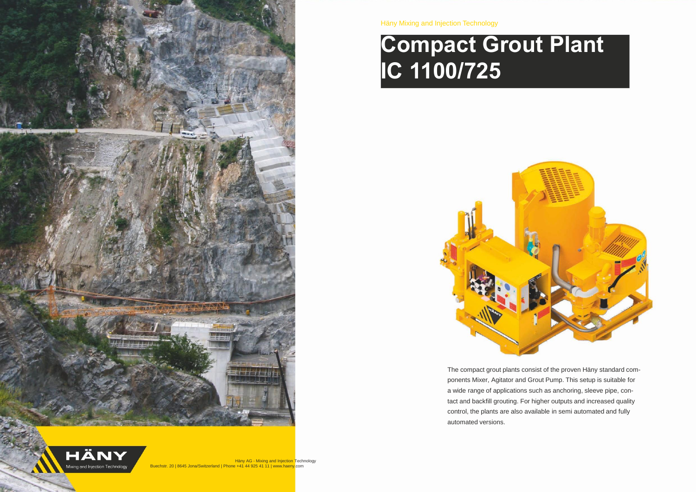

Häny Mixing and Injection Technology

# **Compact Grout Plant IC 1100/725**



The compact grout plants consist of the proven Häny standard components Mixer, Agitator and Grout Pump. This setup is suitable for a wide range of applications such as anchoring, sleeve pipe, contact and backfill grouting. For higher outputs and increased quality control, the plants are also available in semi automated and fully automated versions.

Häny AG - Mixing and Injection Technology Mixing and Injection Technology Buechstr. 20 | 8645 Jona/Switzerland | Phone +41 44 925 41 11 | www.haeny.com